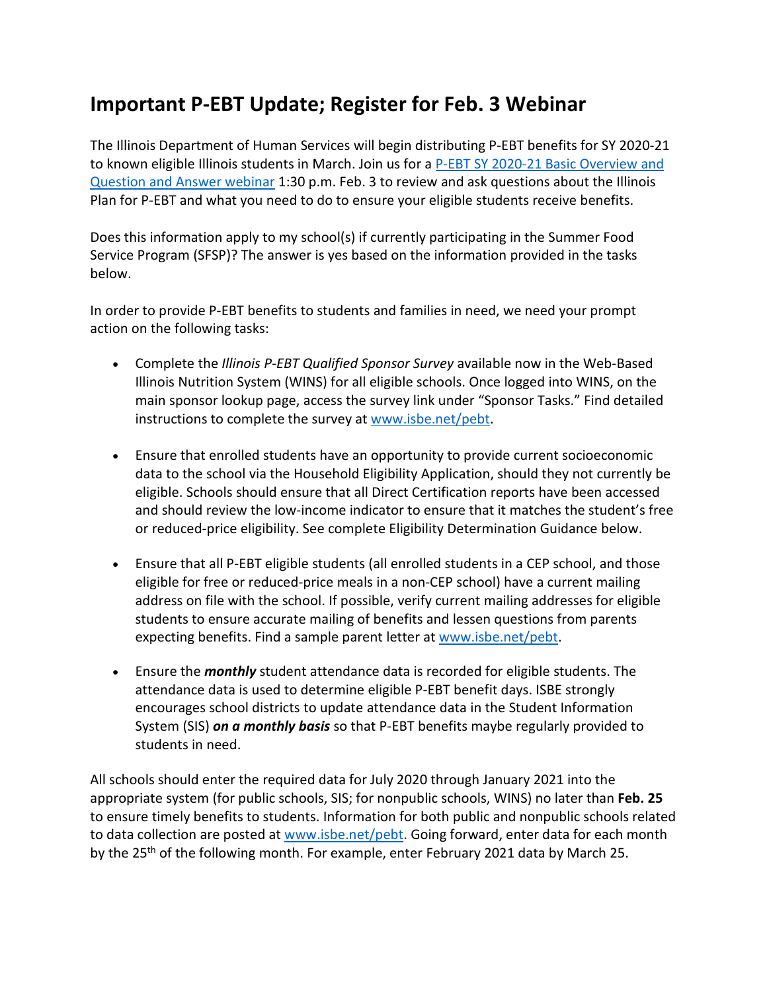# **Important P-EBT Update; Register for Feb. 3 Webinar**

The Illinois Department of Human Services will begin distributing P-EBT benefits for SY 2020-21 to known eligible Illinois students in March. Join us for a [P-EBT SY 2020-21 Basic Overview and](https://register.gotowebinar.com/register/135820884637177613)  [Question and Answer webinar](https://register.gotowebinar.com/register/135820884637177613) 1:30 p.m. Feb. 3 to review and ask questions about the Illinois Plan for P-EBT and what you need to do to ensure your eligible students receive benefits.

Does this information apply to my school(s) if currently participating in the Summer Food Service Program (SFSP)? The answer is yes based on the information provided in the tasks below.

In order to provide P-EBT benefits to students and families in need, we need your prompt action on the following tasks:

- Complete the *Illinois P-EBT Qualified Sponsor Survey* available now in the Web-Based Illinois Nutrition System (WINS) for all eligible schools. Once logged into WINS, on the main sponsor lookup page, access the survey link under "Sponsor Tasks." Find detailed instructions to complete the survey at [www.isbe.net/pebt.](http://www.isbe.net/pebt)
- Ensure that enrolled students have an opportunity to provide current socioeconomic data to the school via the Household Eligibility Application, should they not currently be eligible. Schools should ensure that all Direct Certification reports have been accessed and should review the low-income indicator to ensure that it matches the student's free or reduced-price eligibility. See complete Eligibility Determination Guidance below.
- Ensure that all P-EBT eligible students (all enrolled students in a CEP school, and those eligible for free or reduced-price meals in a non-CEP school) have a current mailing address on file with the school. If possible, verify current mailing addresses for eligible students to ensure accurate mailing of benefits and lessen questions from parents expecting benefits. Find a sample parent letter at [www.isbe.net/pebt.](http://www.isbe.net/pebt)
- Ensure the *monthly* student attendance data is recorded for eligible students. The attendance data is used to determine eligible P-EBT benefit days. ISBE strongly encourages school districts to update attendance data in the Student Information System (SIS) *on a monthly basis* so that P-EBT benefits maybe regularly provided to students in need.

All schools should enter the required data for July 2020 through January 2021 into the appropriate system (for public schools, SIS; for nonpublic schools, WINS) no later than **Feb. 25**  to ensure timely benefits to students. Information for both public and nonpublic schools related to data collection are posted at [www.isbe.net/pebt.](http://www.isbe.net/pebt) Going forward, enter data for each month by the 25<sup>th</sup> of the following month. For example, enter February 2021 data by March 25.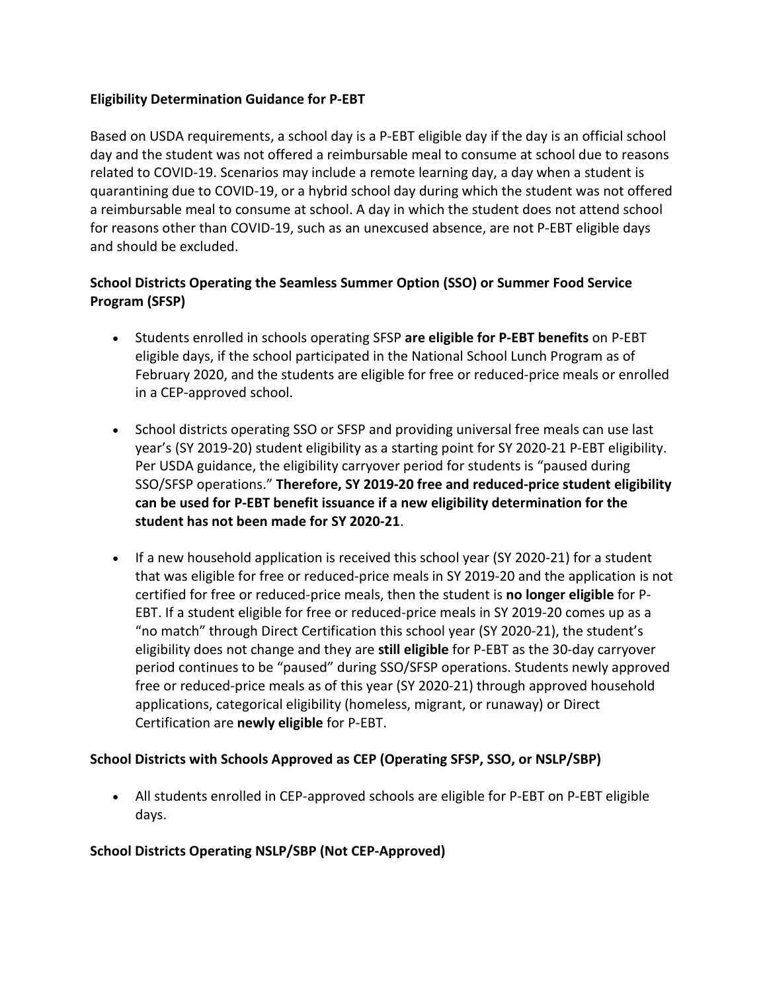#### **Eligibility Determination Guidance for P-EBT**

Based on USDA requirements, a school day is a P-EBT eligible day if the day is an official school day and the student was not offered a reimbursable meal to consume at school due to reasons related to COVID-19. Scenarios may include a remote learning day, a day when a student is quarantining due to COVID-19, or a hybrid school day during which the student was not offered a reimbursable meal to consume at school. A day in which the student does not attend school for reasons other than COVID-19, such as an unexcused absence, are not P-EBT eligible days and should be excluded.

## **School Districts Operating the Seamless Summer Option (SSO) or Summer Food Service Program (SFSP)**

- Students enrolled in schools operating SFSP **are eligible for P-EBT benefits** on P-EBT eligible days, if the school participated in the National School Lunch Program as of February 2020, and the students are eligible for free or reduced-price meals or enrolled in a CEP-approved school.
- School districts operating SSO or SFSP and providing universal free meals can use last year's (SY 2019-20) student eligibility as a starting point for SY 2020-21 P-EBT eligibility. Per USDA guidance, the eligibility carryover period for students is "paused during SSO/SFSP operations." **Therefore, SY 2019-20 free and reduced-price student eligibility can be used for P-EBT benefit issuance if a new eligibility determination for the student has not been made for SY 2020-21**.
- If a new household application is received this school year (SY 2020-21) for a student that was eligible for free or reduced-price meals in SY 2019-20 and the application is not certified for free or reduced-price meals, then the student is **no longer eligible** for P-EBT. If a student eligible for free or reduced-price meals in SY 2019-20 comes up as a "no match" through Direct Certification this school year (SY 2020-21), the student's eligibility does not change and they are **still eligible** for P-EBT as the 30-day carryover period continues to be "paused" during SSO/SFSP operations. Students newly approved free or reduced-price meals as of this year (SY 2020-21) through approved household applications, categorical eligibility (homeless, migrant, or runaway) or Direct Certification are **newly eligible** for P-EBT.

## **School Districts with Schools Approved as CEP (Operating SFSP, SSO, or NSLP/SBP)**

• All students enrolled in CEP-approved schools are eligible for P-EBT on P-EBT eligible days.

## **School Districts Operating NSLP/SBP (Not CEP-Approved)**